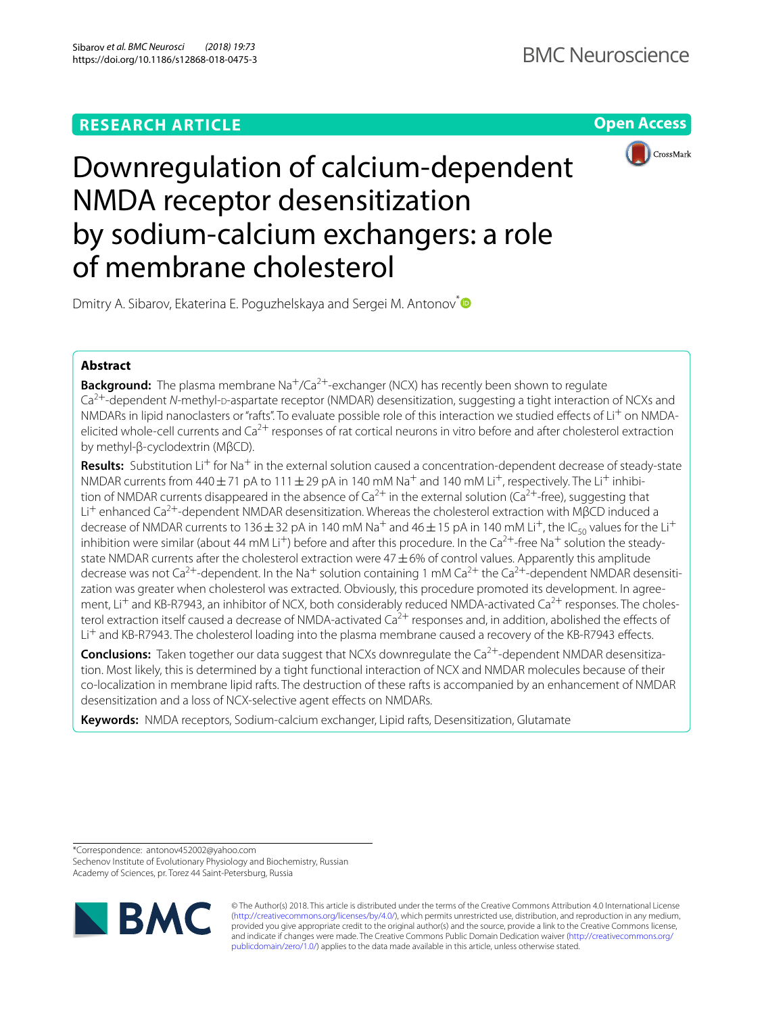# **RESEARCH ARTICLE**

**Open Access**



# Downregulation of calcium-dependent NMDA receptor desensitization by sodium-calcium exchangers: a role of membrane cholesterol

Dmitry A. Sibarov, Ekaterina E. Poguzhelskaya and Sergei M. Antonov<sup>[\\*](http://orcid.org/0000-0002-0644-9330)</sup>

# **Abstract**

**Background:** The plasma membrane Na<sup>+</sup>/Ca<sup>2+</sup>-exchanger (NCX) has recently been shown to regulate Ca<sup>2+</sup>-dependent *N*-methyl-p-aspartate receptor (NMDAR) desensitization, suggesting a tight interaction of NCXs and NMDARs in lipid nanoclasters or "rafts". To evaluate possible role of this interaction we studied effects of Li<sup>+</sup> on NMDAelicited whole-cell currents and  $Ca^{2+}$  responses of rat cortical neurons in vitro before and after cholesterol extraction by methyl-β-cyclodextrin (MβCD).

**Results:** Substitution Li<sup>+</sup> for Na<sup>+</sup> in the external solution caused a concentration-dependent decrease of steady-state NMDAR currents from 440 $\pm$ 71 pA to 111 $\pm$ 29 pA in 140 mM Na<sup>+</sup> and 140 mM Li<sup>+</sup>, respectively. The Li<sup>+</sup> inhibition of NMDAR currents disappeared in the absence of  $Ca^{2+}$  in the external solution ( $Ca^{2+}$ -free), suggesting that Li<sup>+</sup> enhanced Ca<sup>2+</sup>-dependent NMDAR desensitization. Whereas the cholesterol extraction with MβCD induced a decrease of NMDAR currents to 136  $\pm$  32 pA in 140 mM Na<sup>+</sup> and 46  $\pm$  15 pA in 140 mM Li<sup>+</sup>, the IC<sub>50</sub> values for the Li<sup>+</sup> inhibition were similar (about 44 mM Li<sup>+</sup>) before and after this procedure. In the Ca<sup>2+</sup>-free Na<sup>+</sup> solution the steadystate NMDAR currents after the cholesterol extraction were  $47\pm6\%$  of control values. Apparently this amplitude decrease was not Ca<sup>2+</sup>-dependent. In the Na<sup>+</sup> solution containing 1 mM Ca<sup>2+</sup> the Ca<sup>2+</sup>-dependent NMDAR desensitization was greater when cholesterol was extracted. Obviously, this procedure promoted its development. In agreement, Li<sup>+</sup> and KB-R7943, an inhibitor of NCX, both considerably reduced NMDA-activated Ca<sup>2+</sup> responses. The cholesterol extraction itself caused a decrease of NMDA-activated Ca<sup>2+</sup> responses and, in addition, abolished the effects of Li<sup>+</sup> and KB-R7943. The cholesterol loading into the plasma membrane caused a recovery of the KB-R7943 effects.

**Conclusions:** Taken together our data suggest that NCXs downregulate the Ca<sup>2+</sup>-dependent NMDAR desensitization. Most likely, this is determined by a tight functional interaction of NCX and NMDAR molecules because of their co-localization in membrane lipid rafts. The destruction of these rafts is accompanied by an enhancement of NMDAR desensitization and a loss of NCX-selective agent efects on NMDARs.

**Keywords:** NMDA receptors, Sodium-calcium exchanger, Lipid rafts, Desensitization, Glutamate

\*Correspondence: antonov452002@yahoo.com Sechenov Institute of Evolutionary Physiology and Biochemistry, Russian Academy of Sciences, pr. Torez 44 Saint-Petersburg, Russia



© The Author(s) 2018. This article is distributed under the terms of the Creative Commons Attribution 4.0 International License [\(http://creativecommons.org/licenses/by/4.0/\)](http://creativecommons.org/licenses/by/4.0/), which permits unrestricted use, distribution, and reproduction in any medium, provided you give appropriate credit to the original author(s) and the source, provide a link to the Creative Commons license, and indicate if changes were made. The Creative Commons Public Domain Dedication waiver ([http://creativecommons.org/](http://creativecommons.org/publicdomain/zero/1.0/) [publicdomain/zero/1.0/](http://creativecommons.org/publicdomain/zero/1.0/)) applies to the data made available in this article, unless otherwise stated.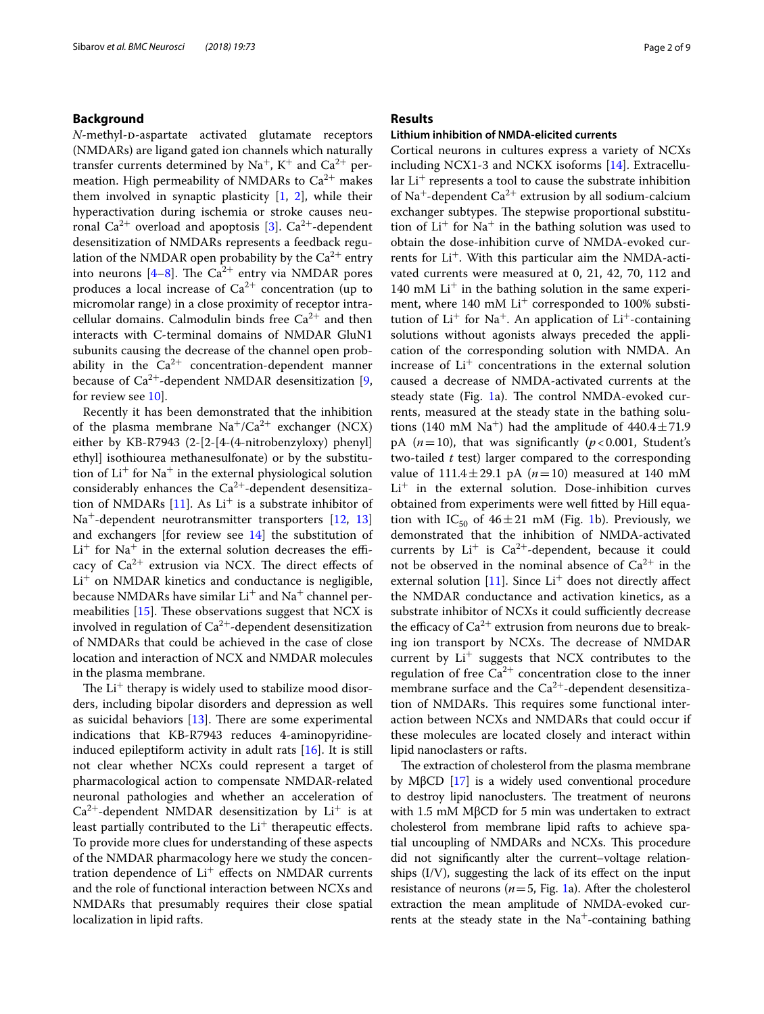# **Background**

*N*-methyl-p-aspartate activated glutamate receptors (NMDARs) are ligand gated ion channels which naturally transfer currents determined by  $Na^+$ ,  $K^+$  and  $Ca^{2+}$  permeation. High permeability of NMDARs to  $Ca^{2+}$  makes them involved in synaptic plasticity [[1,](#page-8-0) [2\]](#page-8-1), while their hyperactivation during ischemia or stroke causes neu-ronal Ca<sup>2+</sup> overload and apoptosis [\[3](#page-8-2)]. Ca<sup>2+</sup>-dependent desensitization of NMDARs represents a feedback regulation of the NMDAR open probability by the  $Ca^{2+}$  entry into neurons  $[4-8]$  $[4-8]$ . The Ca<sup>2+</sup> entry via NMDAR pores produces a local increase of  $Ca^{2+}$  concentration (up to micromolar range) in a close proximity of receptor intracellular domains. Calmodulin binds free  $Ca^{2+}$  and then interacts with C-terminal domains of NMDAR GluN1 subunits causing the decrease of the channel open probability in the  $Ca^{2+}$  concentration-dependent manner because of  $Ca^{2+}$ -dependent NMDAR desensitization [\[9](#page-8-5), for review see [10](#page-8-6)].

Recently it has been demonstrated that the inhibition of the plasma membrane  $Na^+/Ca^{2+}$  exchanger (NCX) either by KB-R7943 (2-[2-[4-(4-nitrobenzyloxy) phenyl] ethyl] isothiourea methanesulfonate) or by the substitution of  $Li<sup>+</sup>$  for Na<sup>+</sup> in the external physiological solution considerably enhances the  $Ca^{2+}$ -dependent desensitization of NMDARs  $[11]$  $[11]$ . As Li<sup>+</sup> is a substrate inhibitor of Na<sup>+</sup>-dependent neurotransmitter transporters [\[12](#page-8-8), [13](#page-8-9)] and exchangers [for review see [14](#page-8-10)] the substitution of  $Li<sup>+</sup>$  for Na<sup>+</sup> in the external solution decreases the efficacy of  $Ca^{2+}$  extrusion via NCX. The direct effects of  $Li<sup>+</sup>$  on NMDAR kinetics and conductance is negligible, because NMDARs have similar  $Li<sup>+</sup>$  and Na<sup>+</sup> channel permeabilities  $[15]$  $[15]$ . These observations suggest that NCX is involved in regulation of  $Ca^{2+}$ -dependent desensitization of NMDARs that could be achieved in the case of close location and interaction of NCX and NMDAR molecules in the plasma membrane.

The  $Li^+$  therapy is widely used to stabilize mood disorders, including bipolar disorders and depression as well as suicidal behaviors  $[13]$  $[13]$ . There are some experimental indications that KB-R7943 reduces 4-aminopyridineinduced epileptiform activity in adult rats [[16\]](#page-8-12). It is still not clear whether NCXs could represent a target of pharmacological action to compensate NMDAR-related neuronal pathologies and whether an acceleration of  $Ca<sup>2+</sup>$ -dependent NMDAR desensitization by Li<sup>+</sup> is at least partially contributed to the  $Li<sup>+</sup>$  therapeutic effects. To provide more clues for understanding of these aspects of the NMDAR pharmacology here we study the concentration dependence of  $Li^+$  effects on NMDAR currents and the role of functional interaction between NCXs and NMDARs that presumably requires their close spatial localization in lipid rafts.

# **Results**

#### **Lithium inhibition of NMDA‑elicited currents**

Cortical neurons in cultures express a variety of NCXs including NCX1-3 and NCKX isoforms [[14](#page-8-10)]. Extracellular  $Li<sup>+</sup>$  represents a tool to cause the substrate inhibition of Na<sup>+</sup>-dependent Ca<sup>2+</sup> extrusion by all sodium-calcium exchanger subtypes. The stepwise proportional substitution of  $Li^+$  for Na<sup>+</sup> in the bathing solution was used to obtain the dose-inhibition curve of NMDA-evoked currents for Li<sup>+</sup>. With this particular aim the NMDA-activated currents were measured at 0, 21, 42, 70, 112 and 140 mM  $Li<sup>+</sup>$  in the bathing solution in the same experiment, where  $140 \text{ mM Li}^+$  corresponded to  $100\%$  substitution of  $Li^+$  for Na<sup>+</sup>. An application of  $Li^+$ -containing solutions without agonists always preceded the application of the corresponding solution with NMDA. An increase of  $Li<sup>+</sup>$  concentrations in the external solution caused a decrease of NMDA-activated currents at the steady state (Fig. [1a](#page-2-0)). The control NMDA-evoked currents, measured at the steady state in the bathing solutions (140 mM Na<sup>+</sup>) had the amplitude of  $440.4 \pm 71.9$ pA  $(n=10)$ , that was significantly  $(p<0.001$ , Student's two-tailed *t* test) larger compared to the corresponding value of  $111.4 \pm 29.1$  pA ( $n = 10$ ) measured at 140 mM  $Li<sup>+</sup>$  in the external solution. Dose-inhibition curves obtained from experiments were well ftted by Hill equation with  $IC_{50}$  of  $46 \pm 21$  mM (Fig. [1b](#page-2-0)). Previously, we demonstrated that the inhibition of NMDA-activated currents by  $Li^+$  is  $Ca^{2+}$ -dependent, because it could not be observed in the nominal absence of  $Ca^{2+}$  in the external solution [\[11](#page-8-7)]. Since  $Li<sup>+</sup>$  does not directly affect the NMDAR conductance and activation kinetics, as a substrate inhibitor of NCXs it could sufficiently decrease the efficacy of  $Ca^{2+}$  extrusion from neurons due to breaking ion transport by NCXs. The decrease of NMDAR current by  $Li^+$  suggests that NCX contributes to the regulation of free  $Ca^{2+}$  concentration close to the inner membrane surface and the  $Ca^{2+}$ -dependent desensitization of NMDARs. This requires some functional interaction between NCXs and NMDARs that could occur if these molecules are located closely and interact within lipid nanoclasters or rafts.

The extraction of cholesterol from the plasma membrane by MβCD [[17](#page-8-13)] is a widely used conventional procedure to destroy lipid nanoclusters. The treatment of neurons with 1.5 mM MβCD for 5 min was undertaken to extract cholesterol from membrane lipid rafts to achieve spatial uncoupling of NMDARs and NCXs. This procedure did not signifcantly alter the current–voltage relationships (I/V), suggesting the lack of its efect on the input resistance of neurons  $(n=5, Fig. 1a)$  $(n=5, Fig. 1a)$  $(n=5, Fig. 1a)$ . After the cholesterol extraction the mean amplitude of NMDA-evoked currents at the steady state in the  $Na<sup>+</sup>$ -containing bathing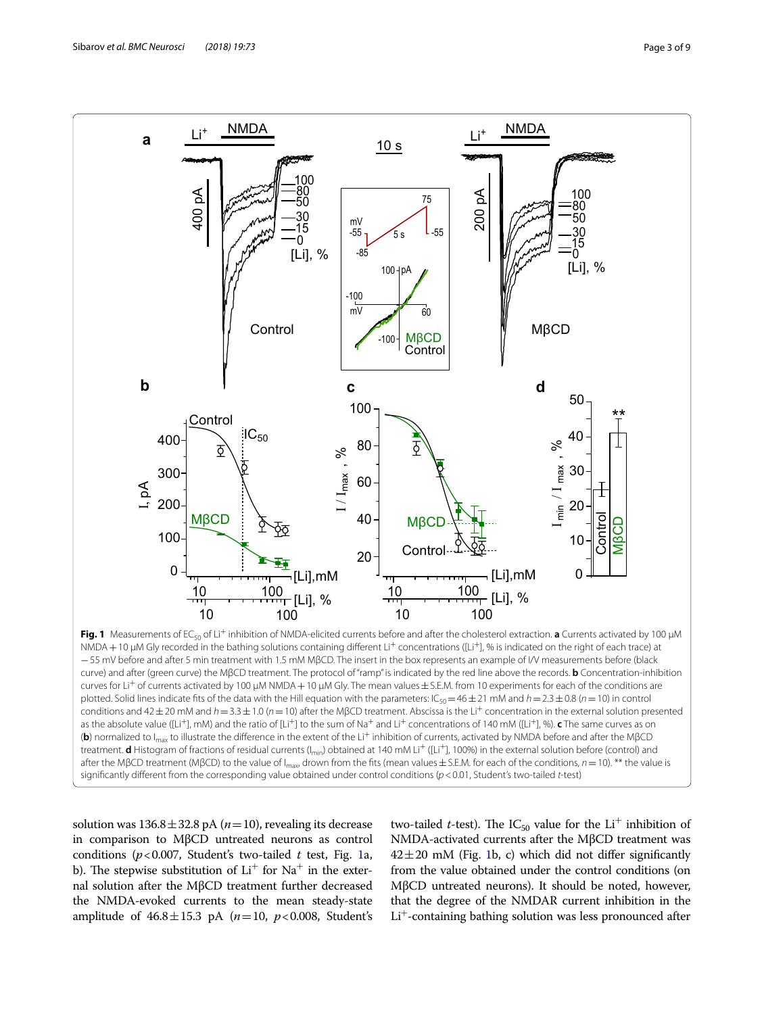

<span id="page-2-0"></span>**Fig. 1** Measurements of EC<sub>50</sub> of Li<sup>+</sup> inhibition of NMDA-elicited currents before and after the cholesterol extraction. **a** Currents activated by 100 μM NMDA+10 μM Gly recorded in the bathing solutions containing diferent Li+ concentrations ([Li+], % is indicated on the right of each trace) at −55 mV before and after 5 min treatment with 1.5 mM MβCD. The insert in the box represents an example of I/V measurements before (black curve) and after (green curve) the MβCD treatment. The protocol of "ramp" is indicated by the red line above the records. **b** Concentration-inhibition curves for Li+ of currents activated by 100 μM NMDA+10 μM Gly. The mean values±S.E.M. from 10 experiments for each of the conditions are plotted. Solid lines indicate fits of the data with the Hill equation with the parameters: IC<sub>50</sub>=46 ± 21 mM and *h* = 2.3 ± 0.8 (*n* = 10) in control conditions and 42±20 mM and *h*=3.3±1.0 (*n*=10) after the MβCD treatment. Abscissa is the Li+ concentration in the external solution presented as the absolute value ([Li+], mM) and the ratio of [Li+] to the sum of Na+ and Li+ concentrations of 140 mM ([Li+], %). **c** The same curves as on (**b**) normalized to I<sub>max</sub> to illustrate the difference in the extent of the Li<sup>+</sup> inhibition of currents, activated by NMDA before and after the MβCD treatment. **d** Histogram of fractions of residual currents (I<sub>min</sub>) obtained at 140 mM Li<sup>+</sup> ([Li<sup>+</sup>], 100%) in the external solution before (control) and after the MβCD treatment (MβCD) to the value of I<sub>max</sub>, drown from the fits (mean values±S.E.M. for each of the conditions, *n* = 10). \*\* the value is signifcantly diferent from the corresponding value obtained under control conditions (*p*<0.01, Student's two-tailed *t*-test)

solution was  $136.8 \pm 32.8$  pA ( $n=10$ ), revealing its decrease in comparison to MβCD untreated neurons as control conditions (*p*<0.007, Student's two-tailed *t* test, Fig. [1a](#page-2-0), b). The stepwise substitution of  $Li<sup>+</sup>$  for Na<sup>+</sup> in the external solution after the MβCD treatment further decreased the NMDA-evoked currents to the mean steady-state amplitude of  $46.8 \pm 15.3$  pA ( $n = 10$ ,  $p < 0.008$ , Student's

two-tailed *t*-test). The IC<sub>50</sub> value for the Li<sup>+</sup> inhibition of NMDA-activated currents after the MβCD treatment was  $42\pm20$  mM (Fig. [1b](#page-2-0), c) which did not differ significantly from the value obtained under the control conditions (on MβCD untreated neurons). It should be noted, however, that the degree of the NMDAR current inhibition in the Li<sup>+</sup>-containing bathing solution was less pronounced after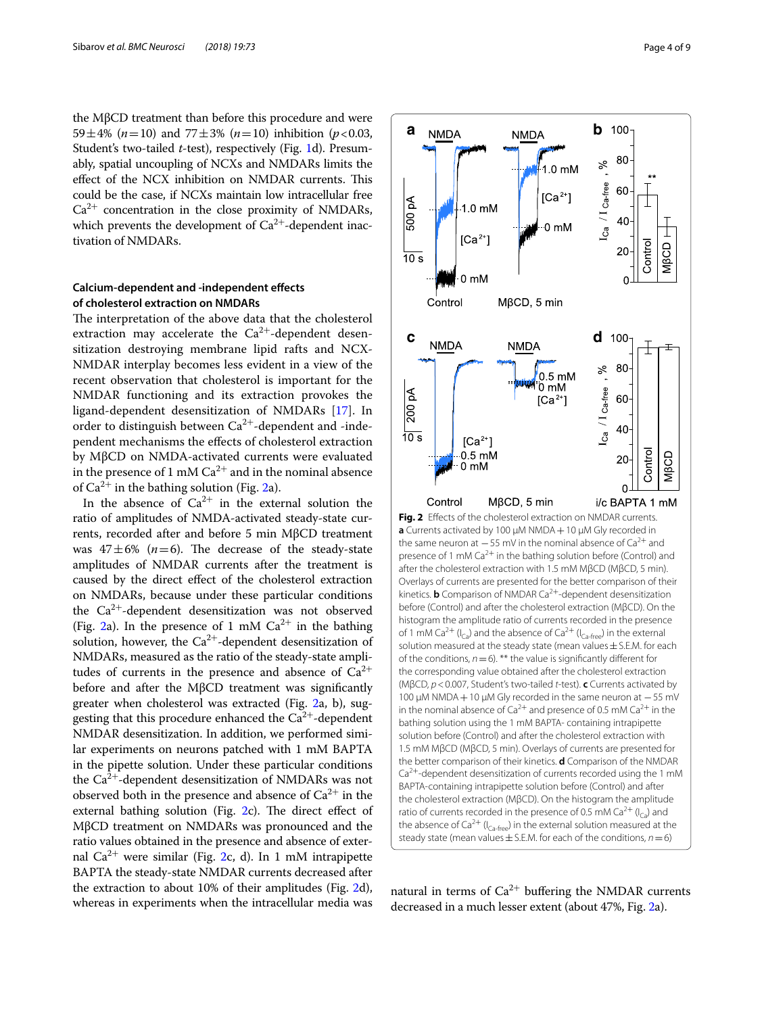the MβCD treatment than before this procedure and were 59 $\pm$ 4% (*n*=10) and 77 $\pm$ 3% (*n*=10) inhibition (*p*<0.03, Student's two-tailed *t*-test), respectively (Fig. [1](#page-2-0)d). Presumably, spatial uncoupling of NCXs and NMDARs limits the effect of the NCX inhibition on NMDAR currents. This could be the case, if NCXs maintain low intracellular free  $Ca^{2+}$  concentration in the close proximity of NMDARs, which prevents the development of  $Ca^{2+}$ -dependent inactivation of NMDARs.

# **Calcium‑dependent and ‑independent efects of cholesterol extraction on NMDARs**

The interpretation of the above data that the cholesterol extraction may accelerate the  $Ca^{2+}$ -dependent desensitization destroying membrane lipid rafts and NCX-NMDAR interplay becomes less evident in a view of the recent observation that cholesterol is important for the NMDAR functioning and its extraction provokes the ligand-dependent desensitization of NMDARs [[17\]](#page-8-13). In order to distinguish between  $Ca^{2+}$ -dependent and -independent mechanisms the efects of cholesterol extraction by MβCD on NMDA-activated currents were evaluated in the presence of 1 mM  $Ca^{2+}$  and in the nominal absence of  $Ca^{2+}$  in the bathing solution (Fig. [2](#page-3-0)a).

<span id="page-3-0"></span>In the absence of  $Ca^{2+}$  in the external solution the ratio of amplitudes of NMDA-activated steady-state currents, recorded after and before 5 min MβCD treatment was  $47 \pm 6\%$  ( $n=6$ ). The decrease of the steady-state amplitudes of NMDAR currents after the treatment is caused by the direct efect of the cholesterol extraction on NMDARs, because under these particular conditions the  $Ca^{2+}$ -dependent desensitization was not observed (Fig. [2](#page-3-0)a). In the presence of 1 mM  $Ca^{2+}$  in the bathing solution, however, the  $Ca^{2+}$ -dependent desensitization of NMDARs, measured as the ratio of the steady-state amplitudes of currents in the presence and absence of  $Ca^{2+}$ before and after the MβCD treatment was signifcantly greater when cholesterol was extracted (Fig. [2a](#page-3-0), b), suggesting that this procedure enhanced the  $Ca^{2+}$ -dependent NMDAR desensitization. In addition, we performed similar experiments on neurons patched with 1 mM BAPTA in the pipette solution. Under these particular conditions the  $Ca^{2+}$ -dependent desensitization of NMDARs was not observed both in the presence and absence of  $Ca^{2+}$  in the external bathing solution (Fig.  $2c$  $2c$ ). The direct effect of MβCD treatment on NMDARs was pronounced and the ratio values obtained in the presence and absence of external  $Ca^{2+}$  were similar (Fig. [2c](#page-3-0), d). In 1 mM intrapipette BAPTA the steady-state NMDAR currents decreased after the extraction to about 10% of their amplitudes (Fig. [2](#page-3-0)d), whereas in experiments when the intracellular media was



natural in terms of  $Ca^{2+}$  buffering the NMDAR currents decreased in a much lesser extent (about 47%, Fig. [2a](#page-3-0)).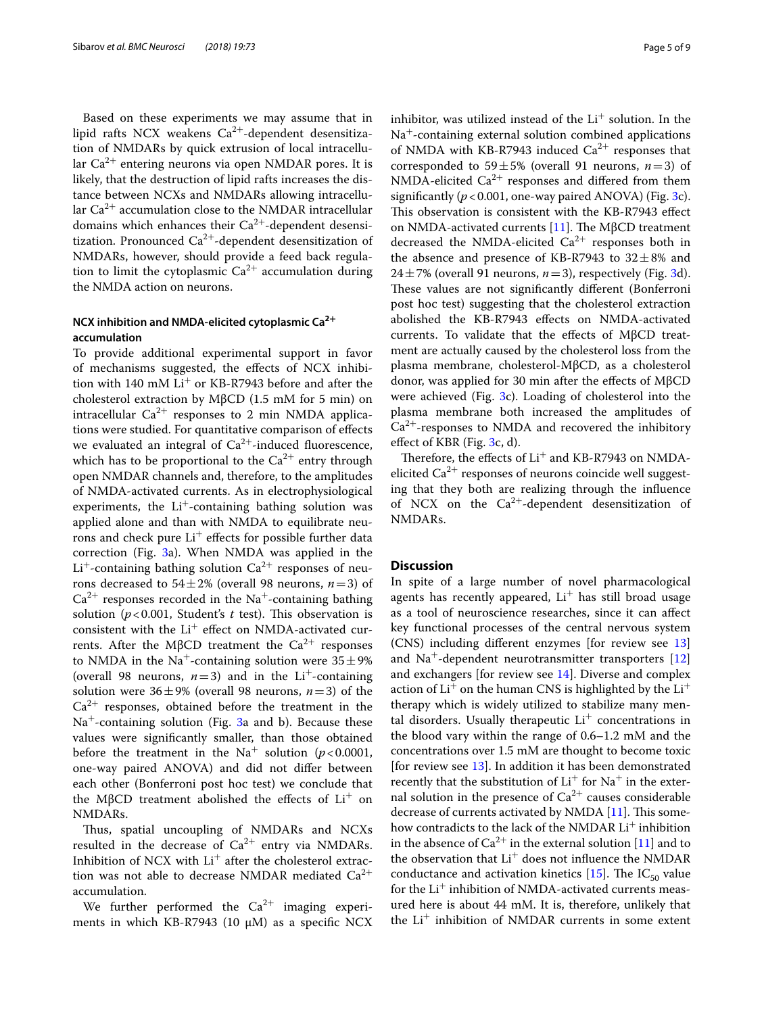Based on these experiments we may assume that in lipid rafts NCX weakens  $Ca^{2+}$ -dependent desensitization of NMDARs by quick extrusion of local intracellular  $Ca^{2+}$  entering neurons via open NMDAR pores. It is likely, that the destruction of lipid rafts increases the distance between NCXs and NMDARs allowing intracellular  $Ca^{2+}$  accumulation close to the NMDAR intracellular domains which enhances their  $Ca^{2+}$ -dependent desensitization. Pronounced  $Ca^{2+}$ -dependent desensitization of NMDARs, however, should provide a feed back regulation to limit the cytoplasmic  $Ca^{2+}$  accumulation during the NMDA action on neurons.

# **NCX inhibition and NMDA‑elicited cytoplasmic Ca2<sup>+</sup> accumulation**

To provide additional experimental support in favor of mechanisms suggested, the efects of NCX inhibition with 140 mM  $Li<sup>+</sup>$  or KB-R7943 before and after the cholesterol extraction by MβCD (1.5 mM for 5 min) on intracellular  $Ca^{2+}$  responses to 2 min NMDA applications were studied. For quantitative comparison of efects we evaluated an integral of  $Ca^{2+}$ -induced fluorescence, which has to be proportional to the  $Ca^{2+}$  entry through open NMDAR channels and, therefore, to the amplitudes of NMDA-activated currents. As in electrophysiological experiments, the  $Li^{+}$ -containing bathing solution was applied alone and than with NMDA to equilibrate neurons and check pure  $Li^+$  effects for possible further data correction (Fig. [3](#page-5-0)a). When NMDA was applied in the  $Li<sup>+</sup>$ -containing bathing solution  $Ca<sup>2+</sup>$  responses of neurons decreased to  $54 \pm 2\%$  (overall 98 neurons,  $n=3$ ) of  $Ca<sup>2+</sup>$  responses recorded in the Na<sup>+</sup>-containing bathing solution ( $p < 0.001$ , Student's  $t$  test). This observation is consistent with the  $Li^{+}$  effect on NMDA-activated currents. After the MβCD treatment the  $Ca<sup>2+</sup>$  responses to NMDA in the Na<sup>+</sup>-containing solution were  $35 \pm 9\%$ (overall 98 neurons,  $n=3$ ) and in the Li<sup>+</sup>-containing solution were  $36 \pm 9%$  (overall 98 neurons,  $n=3$ ) of the  $Ca<sup>2+</sup>$  responses, obtained before the treatment in the  $Na<sup>+</sup>$ -containing solution (Fig. [3](#page-5-0)a and b). Because these values were signifcantly smaller, than those obtained before the treatment in the Na<sup>+</sup> solution ( $p < 0.0001$ , one-way paired ANOVA) and did not difer between each other (Bonferroni post hoc test) we conclude that the MβCD treatment abolished the effects of  $Li<sup>+</sup>$  on NMDARs.

Thus, spatial uncoupling of NMDARs and NCXs resulted in the decrease of  $Ca^{2+}$  entry via NMDARs. Inhibition of NCX with  $Li^+$  after the cholesterol extraction was not able to decrease NMDAR mediated  $Ca^{2+}$ accumulation.

We further performed the  $Ca^{2+}$  imaging experiments in which KB-R7943 (10  $\mu$ M) as a specific NCX inhibitor, was utilized instead of the  $Li<sup>+</sup>$  solution. In the  $Na<sup>+</sup>$ -containing external solution combined applications of NMDA with KB-R7943 induced  $Ca^{2+}$  responses that corresponded to 59 $\pm$ 5% (overall 91 neurons, *n*=3) of NMDA-elicited  $Ca^{2+}$  responses and differed from them significantly  $(p < 0.001$ , one-way paired ANOVA) (Fig. [3c](#page-5-0)). This observation is consistent with the KB-R7943 effect on NMDA-activated currents  $[11]$  $[11]$  $[11]$ . The MβCD treatment decreased the NMDA-elicited  $Ca^{2+}$  responses both in the absence and presence of KB-R7943 to  $32 \pm 8\%$  and  $24 \pm 7%$  (overall 91 neurons,  $n=3$ ), respectively (Fig. [3d](#page-5-0)). These values are not significantly different (Bonferroni post hoc test) suggesting that the cholesterol extraction abolished the KB-R7943 efects on NMDA-activated currents. To validate that the efects of MβCD treatment are actually caused by the cholesterol loss from the plasma membrane, cholesterol-MβCD, as a cholesterol donor, was applied for 30 min after the efects of MβCD were achieved (Fig. [3](#page-5-0)c). Loading of cholesterol into the plasma membrane both increased the amplitudes of  $Ca<sup>2+</sup>$ -responses to NMDA and recovered the inhibitory efect of KBR (Fig. [3](#page-5-0)c, d).

Therefore, the effects of  $Li<sup>+</sup>$  and KB-R7943 on NMDAelicited  $Ca^{2+}$  responses of neurons coincide well suggesting that they both are realizing through the infuence of NCX on the  $Ca^{2+}$ -dependent desensitization of NMDARs.

# <span id="page-4-0"></span>**Discussion**

In spite of a large number of novel pharmacological agents has recently appeared,  $Li<sup>+</sup>$  has still broad usage as a tool of neuroscience researches, since it can afect key functional processes of the central nervous system (CNS) including diferent enzymes [for review see [13](#page-8-9)] and  $Na<sup>+</sup>$ -dependent neurotransmitter transporters [[12](#page-8-8)] and exchangers [for review see [14](#page-8-10)]. Diverse and complex action of  $Li^+$  on the human CNS is highlighted by the  $Li^+$ therapy which is widely utilized to stabilize many mental disorders. Usually therapeutic  $Li<sup>+</sup>$  concentrations in the blood vary within the range of 0.6–1.2 mM and the concentrations over 1.5 mM are thought to become toxic [for review see [13\]](#page-8-9). In addition it has been demonstrated recently that the substitution of  $Li<sup>+</sup>$  for Na<sup>+</sup> in the external solution in the presence of  $Ca^{2+}$  causes considerable decrease of currents activated by NMDA [\[11](#page-8-7)]. This somehow contradicts to the lack of the NMDAR Li<sup>+</sup> inhibition in the absence of  $Ca^{2+}$  in the external solution [\[11](#page-8-7)] and to the observation that  $Li^+$  does not influence the NMDAR conductance and activation kinetics [[15\]](#page-8-11). The  $IC_{50}$  value for the  $Li<sup>+</sup>$  inhibition of NMDA-activated currents measured here is about 44 mM. It is, therefore, unlikely that the  $Li<sup>+</sup>$  inhibition of NMDAR currents in some extent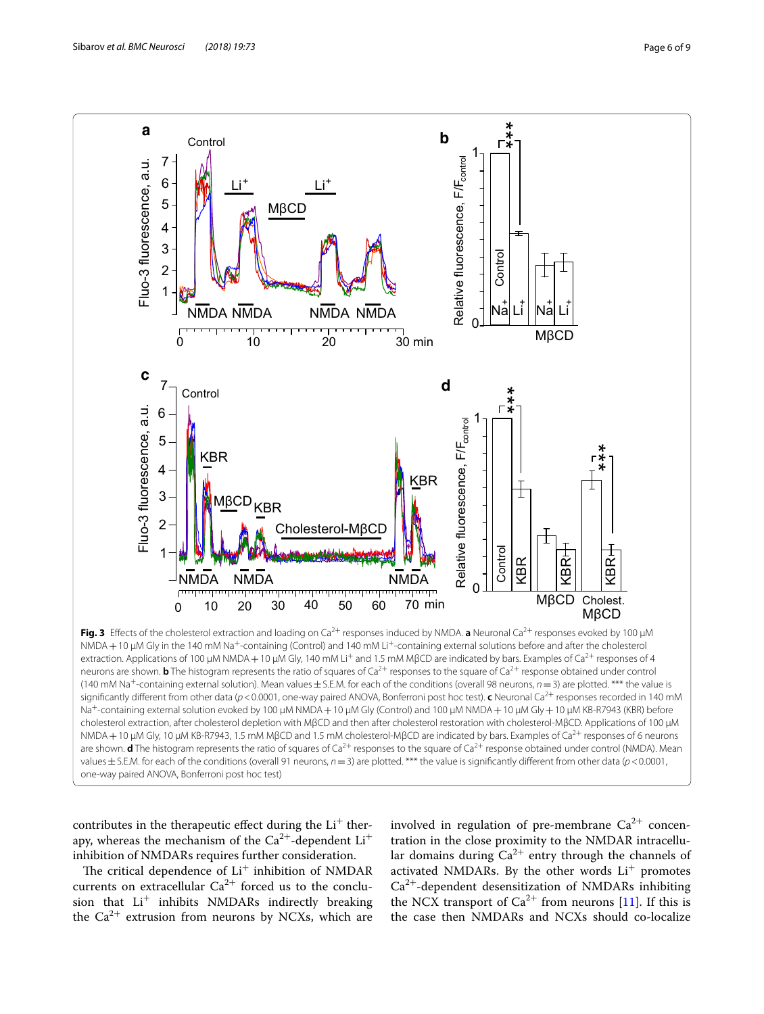

<span id="page-5-0"></span>contributes in the therapeutic effect during the  $Li<sup>+</sup>$  therapy, whereas the mechanism of the  $Ca^{2+}$ -dependent  $Li^+$ inhibition of NMDARs requires further consideration.

The critical dependence of  $Li<sup>+</sup>$  inhibition of NMDAR currents on extracellular  $Ca^{2+}$  forced us to the conclusion that  $Li^+$  inhibits NMDARs indirectly breaking the  $Ca^{2+}$  extrusion from neurons by NCXs, which are

involved in regulation of pre-membrane  $Ca^{2+}$  concentration in the close proximity to the NMDAR intracellular domains during  $Ca^{2+}$  entry through the channels of activated NMDARs. By the other words  $Li<sup>+</sup>$  promotes  $Ca<sup>2+</sup>$ -dependent desensitization of NMDARs inhibiting the NCX transport of  $Ca^{2+}$  from neurons [[11](#page-8-7)]. If this is the case then NMDARs and NCXs should co-localize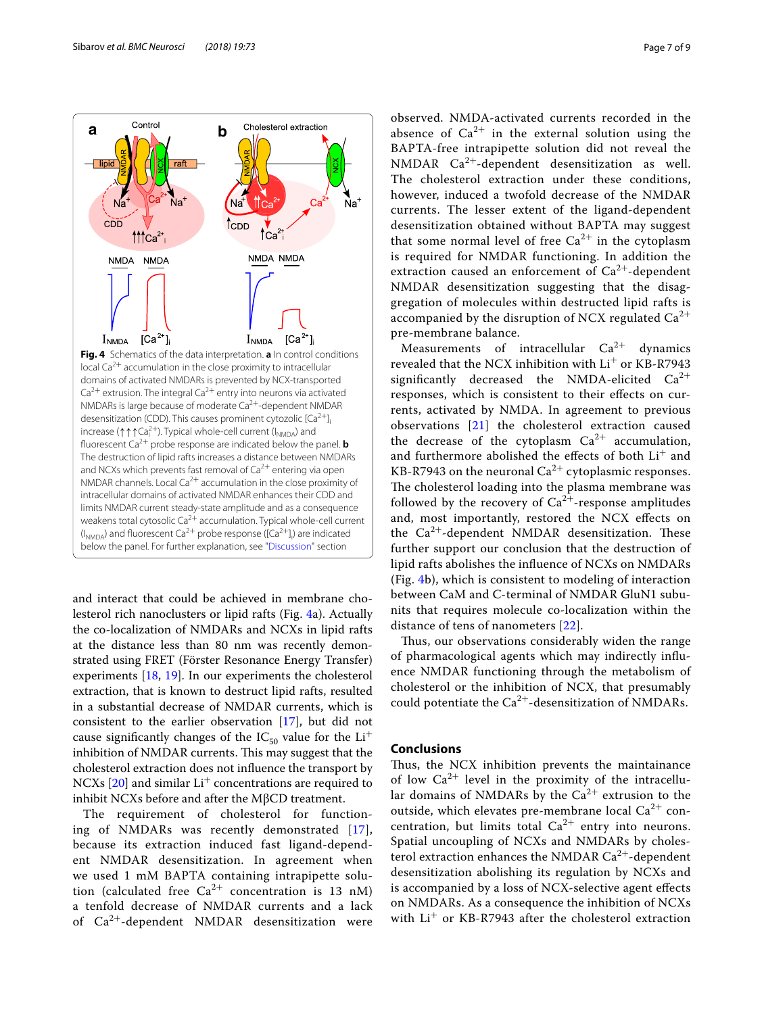

<span id="page-6-0"></span>and interact that could be achieved in membrane cholesterol rich nanoclusters or lipid rafts (Fig. [4a](#page-6-0)). Actually the co-localization of NMDARs and NCXs in lipid rafts at the distance less than 80 nm was recently demonstrated using FRET (Förster Resonance Energy Transfer) experiments [[18](#page-8-14), [19](#page-8-15)]. In our experiments the cholesterol extraction, that is known to destruct lipid rafts, resulted in a substantial decrease of NMDAR currents, which is consistent to the earlier observation [\[17](#page-8-13)], but did not cause significantly changes of the  $IC_{50}$  value for the  $Li^{+}$ inhibition of NMDAR currents. This may suggest that the cholesterol extraction does not infuence the transport by NCXs  $[20]$  $[20]$  and similar Li<sup>+</sup> concentrations are required to inhibit NCXs before and after the MβCD treatment.

The requirement of cholesterol for functioning of NMDARs was recently demonstrated [[17\]](#page-8-13), because its extraction induced fast ligand-dependent NMDAR desensitization. In agreement when we used 1 mM BAPTA containing intrapipette solution (calculated free  $Ca^{2+}$  concentration is 13 nM) a tenfold decrease of NMDAR currents and a lack of  $Ca^{2+}$ -dependent NMDAR desensitization were

observed. NMDA-activated currents recorded in the absence of  $Ca^{2+}$  in the external solution using the BAPTA-free intrapipette solution did not reveal the NMDAR  $Ca^{2+}$ -dependent desensitization as well. The cholesterol extraction under these conditions, however, induced a twofold decrease of the NMDAR currents. The lesser extent of the ligand-dependent desensitization obtained without BAPTA may suggest that some normal level of free  $Ca^{2+}$  in the cytoplasm is required for NMDAR functioning. In addition the extraction caused an enforcement of  $Ca^{2+}$ -dependent NMDAR desensitization suggesting that the disaggregation of molecules within destructed lipid rafts is accompanied by the disruption of NCX regulated  $Ca^{2+}$ pre-membrane balance.

Measurements of intracellular  $Ca^{2+}$  dynamics revealed that the NCX inhibition with  $Li<sup>+</sup>$  or KB-R7943 significantly decreased the NMDA-elicited  $Ca^{2+}$ responses, which is consistent to their efects on currents, activated by NMDA. In agreement to previous observations [\[21](#page-8-17)] the cholesterol extraction caused the decrease of the cytoplasm  $Ca^{2+}$  accumulation, and furthermore abolished the effects of both Li<sup>+</sup> and KB-R7943 on the neuronal  $Ca^{2+}$  cytoplasmic responses. The cholesterol loading into the plasma membrane was followed by the recovery of  $Ca^{2+}$ -response amplitudes and, most importantly, restored the NCX efects on the  $Ca^{2+}$ -dependent NMDAR desensitization. These further support our conclusion that the destruction of lipid rafts abolishes the infuence of NCXs on NMDARs (Fig. [4](#page-6-0)b), which is consistent to modeling of interaction between CaM and C-terminal of NMDAR GluN1 subunits that requires molecule co-localization within the distance of tens of nanometers [\[22](#page-8-18)].

Thus, our observations considerably widen the range of pharmacological agents which may indirectly infuence NMDAR functioning through the metabolism of cholesterol or the inhibition of NCX, that presumably could potentiate the  $Ca^{2+}$ -desensitization of NMDARs.

# **Conclusions**

Thus, the NCX inhibition prevents the maintainance of low  $Ca^{2+}$  level in the proximity of the intracellular domains of NMDARs by the  $Ca^{2+}$  extrusion to the outside, which elevates pre-membrane local  $Ca^{2+}$  concentration, but limits total  $Ca^{2+}$  entry into neurons. Spatial uncoupling of NCXs and NMDARs by cholesterol extraction enhances the NMDAR  $Ca^{2+}$ -dependent desensitization abolishing its regulation by NCXs and is accompanied by a loss of NCX-selective agent efects on NMDARs. As a consequence the inhibition of NCXs with  $Li^+$  or KB-R7943 after the cholesterol extraction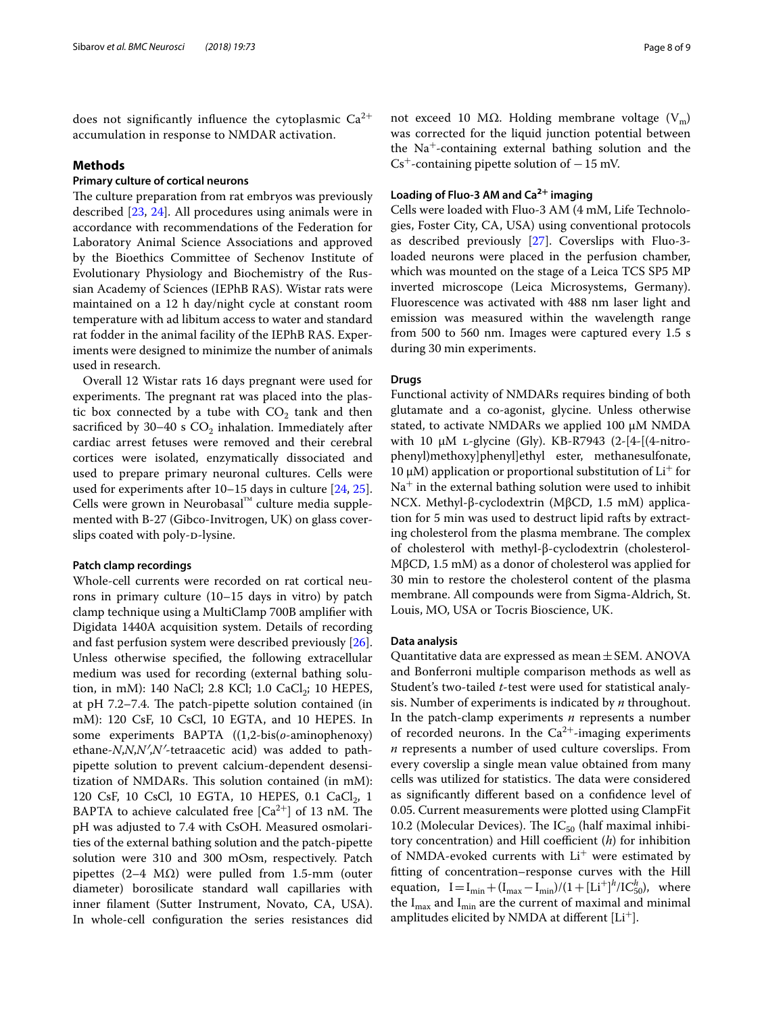does not significantly influence the cytoplasmic  $Ca^{2+}$ accumulation in response to NMDAR activation.

# **Methods**

# **Primary culture of cortical neurons**

The culture preparation from rat embryos was previously described [[23,](#page-8-19) [24\]](#page-8-20). All procedures using animals were in accordance with recommendations of the Federation for Laboratory Animal Science Associations and approved by the Bioethics Committee of Sechenov Institute of Evolutionary Physiology and Biochemistry of the Russian Academy of Sciences (IEPhB RAS). Wistar rats were maintained on a 12 h day/night cycle at constant room temperature with ad libitum access to water and standard rat fodder in the animal facility of the IEPhB RAS. Experiments were designed to minimize the number of animals used in research.

Overall 12 Wistar rats 16 days pregnant were used for experiments. The pregnant rat was placed into the plastic box connected by a tube with  $CO<sub>2</sub>$  tank and then sacrificed by  $30-40$  s  $CO<sub>2</sub>$  inhalation. Immediately after cardiac arrest fetuses were removed and their cerebral cortices were isolated, enzymatically dissociated and used to prepare primary neuronal cultures. Cells were used for experiments after 10–15 days in culture [[24,](#page-8-20) [25](#page-8-21)]. Cells were grown in Neurobasal™ culture media supplemented with B-27 (Gibco-Invitrogen, UK) on glass coverslips coated with poly-p-lysine.

#### **Patch clamp recordings**

Whole-cell currents were recorded on rat cortical neurons in primary culture (10–15 days in vitro) by patch clamp technique using a MultiClamp 700B amplifer with Digidata 1440A acquisition system. Details of recording and fast perfusion system were described previously [\[26](#page-8-22)]. Unless otherwise specifed, the following extracellular medium was used for recording (external bathing solution, in mM): 140 NaCl; 2.8 KCl; 1.0 CaCl $_2$ ; 10 HEPES, at pH  $7.2-7.4$ . The patch-pipette solution contained (in mM): 120 CsF, 10 CsCl, 10 EGTA, and 10 HEPES. In some experiments BAPTA ((1,2-bis(*o*-aminophenoxy) ethane-*N*,*N*,*N′*,*N′*-tetraacetic acid) was added to pathpipette solution to prevent calcium-dependent desensitization of NMDARs. This solution contained (in mM): 120 CsF, 10 CsCl, 10 EGTA, 10 HEPES, 0.1 CaCl<sub>2</sub>, 1 BAPTA to achieve calculated free  $[Ca^{2+}]$  of 13 nM. The pH was adjusted to 7.4 with CsOH. Measured osmolarities of the external bathing solution and the patch-pipette solution were 310 and 300 mOsm, respectively. Patch pipettes (2–4  $MΩ$ ) were pulled from 1.5-mm (outer diameter) borosilicate standard wall capillaries with inner flament (Sutter Instrument, Novato, CA, USA). In whole-cell confguration the series resistances did not exceed 10 MΩ. Holding membrane voltage  $(V_m)$ was corrected for the liquid junction potential between the Na<sup>+</sup>-containing external bathing solution and the  $Cs^+$ -containing pipette solution of  $-15$  mV.

# **Loading of Fluo‑3 AM and Ca2+ imaging**

Cells were loaded with Fluo-3 AM (4 mM, Life Technologies, Foster City, CA, USA) using conventional protocols as described previously [\[27\]](#page-8-23). Coverslips with Fluo-3 loaded neurons were placed in the perfusion chamber, which was mounted on the stage of a Leica TCS SP5 MP inverted microscope (Leica Microsystems, Germany). Fluorescence was activated with 488 nm laser light and emission was measured within the wavelength range from 500 to 560 nm. Images were captured every 1.5 s during 30 min experiments.

#### **Drugs**

Functional activity of NMDARs requires binding of both glutamate and a co-agonist, glycine. Unless otherwise stated, to activate NMDARs we applied 100 µM NMDA with 10  $\mu$ M *L*-glycine (Gly). KB-R7943 (2-[4-[(4-nitrophenyl)methoxy]phenyl]ethyl ester, methanesulfonate, 10 μM) application or proportional substitution of  $Li<sup>+</sup>$  for  $Na<sup>+</sup>$  in the external bathing solution were used to inhibit NCX. Methyl-β-cyclodextrin (MβCD, 1.5 mM) application for 5 min was used to destruct lipid rafts by extracting cholesterol from the plasma membrane. The complex of cholesterol with methyl-β-cyclodextrin (cholesterol-MβCD, 1.5 mM) as a donor of cholesterol was applied for 30 min to restore the cholesterol content of the plasma membrane. All compounds were from Sigma-Aldrich, St. Louis, MO, USA or Tocris Bioscience, UK.

#### **Data analysis**

Quantitative data are expressed as mean  $\pm$  SEM. ANOVA and Bonferroni multiple comparison methods as well as Student's two-tailed *t*-test were used for statistical analysis. Number of experiments is indicated by *n* throughout. In the patch-clamp experiments *n* represents a number of recorded neurons. In the  $Ca^{2+}$ -imaging experiments *n* represents a number of used culture coverslips. From every coverslip a single mean value obtained from many cells was utilized for statistics. The data were considered as signifcantly diferent based on a confdence level of 0.05. Current measurements were plotted using ClampFit 10.2 (Molecular Devices). The  $IC_{50}$  (half maximal inhibitory concentration) and Hill coefficient (*h*) for inhibition of NMDA-evoked currents with  $Li<sup>+</sup>$  were estimated by ftting of concentration–response curves with the Hill equation,  $I = I_{min} + (I_{max} - I_{min})/(1 + [Li^+]^h / IC_{50}^h)$ , where the  $I_{max}$  and  $I_{min}$  are the current of maximal and minimal amplitudes elicited by NMDA at different  $[Li^+]$ .